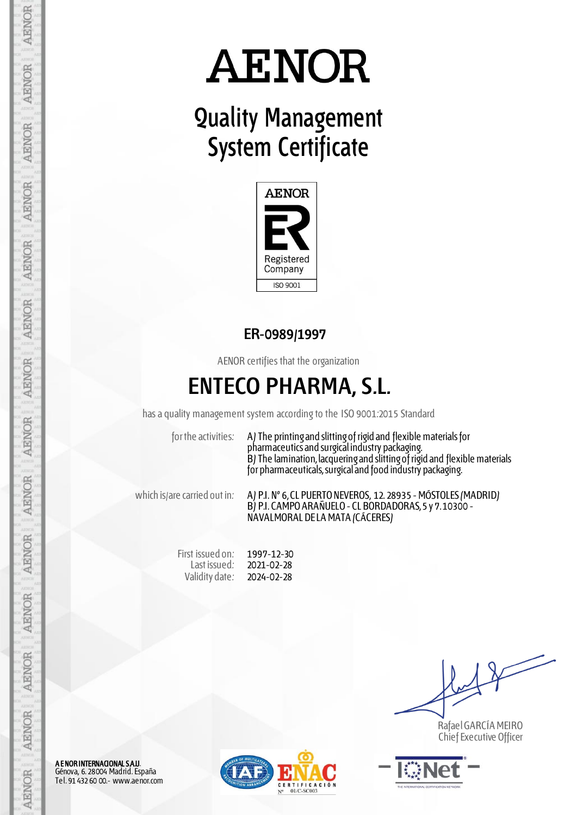# **AENOR**

## **Quality Management System Certificate**



#### **ER-0989/1997**

AENOR certifies that the organization

### **ENTECO PHARMA, S.L.**

has a quality management system according to the ISO 9001:2015 Standard

for the activities: A) The printing and slitting of rigid and flexible materials for pharmaceutics and surgical industry packaging. B) The lamination, lacquering and slitting of rigid and flexible materials for pharmaceuticals, surgical and food industry packaging.

which is/are carried out in: A) P.I. Nº 6, CL PUERTO NEVEROS, 12. 28935 - MÓSTOLES (MADRID) B) P.I. CAMPO ARAÑUELO - CL BORDADORAS, 5 y 7. 10300 - NAVALMORAL DE LA MATA (CÁCERES)

> First issued on: Last issued: Validity date: 1997-12-30 2021-02-28 2024-02-28

Rafael GARCÍA MEIRO Chief Executive Officer



**A ENOR INTERNACIONAL S.A.U**.<br>Génova, 6. 28004 Madrid. España Tel. 91 432 60 00.- www.aenor.com

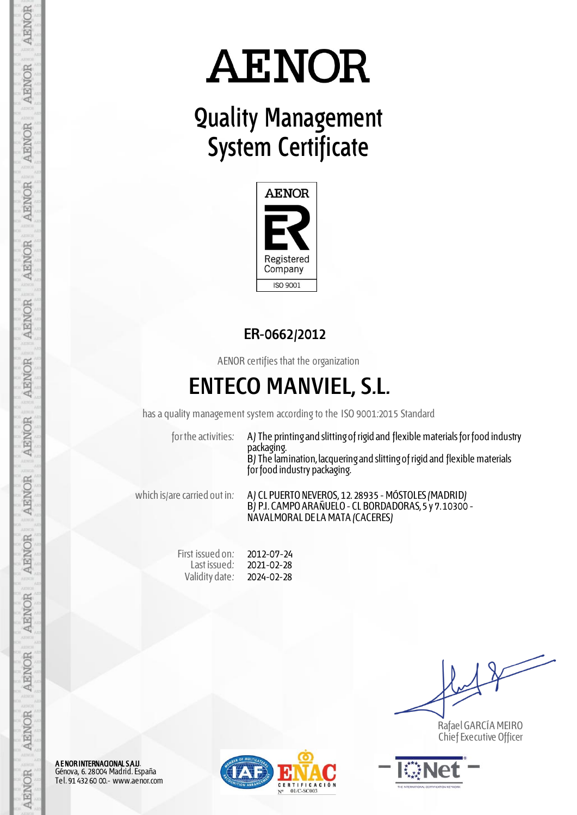# **AENOR**

## **Quality Management System Certificate**



#### **ER-0662/2012**

AENOR certifies that the organization

### **ENTECO MANVIEL, S.L.**

has a quality management system according to the ISO 9001:2015 Standard

for the activities: A) The printing and slitting of rigid and flexible materials for food industry packaging. B) The lamination, lacquering and slitting of rigid and flexible materials for food industry packaging.

which is/are carried out in: A) CL PUERTO NEVEROS, 12. 28935 - MÓSTOLES (MADRID) B) P.I. CAMPO ARAÑUELO - CL BORDADORAS, 5 y 7. 10300 - NAVALMORAL DE LA MATA (CACERES)

> First issued on: Last issued: Validity date: 2012-07-24 2021-02-28 2024-02-28

Rafael GARCÍA MEIRO Chief Executive Officer



A E NOR INTERNACIONAL S.A.U. Génova, 6. 28004 Madrid. España Tel. 91 432 60 00.- www.aenor.com